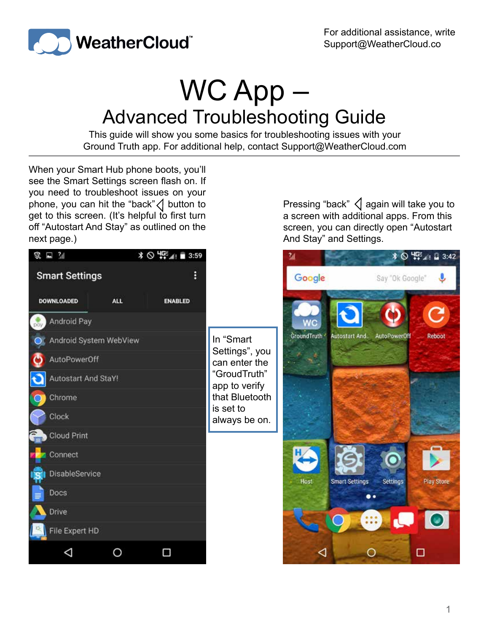

## WC App – Advanced Troubleshooting Guide

This guide will show you some basics for troubleshooting issues with your Ground Truth app. For additional help, contact Support@WeatherCloud.com

When your Smart Hub phone boots, you'll see the Smart Settings screen flash on. If you need to troubleshoot issues on your phone, you can hit the "back" $\langle \rangle$  button to get to this screen. (It's helpful to first turn off "Autostart And Stay" as outlined on the next page.)

Pressing "back"  $\triangleleft$  again will take you to a screen with additional apps. From this screen, you can directly open "Autostart And Stay" and Settings.

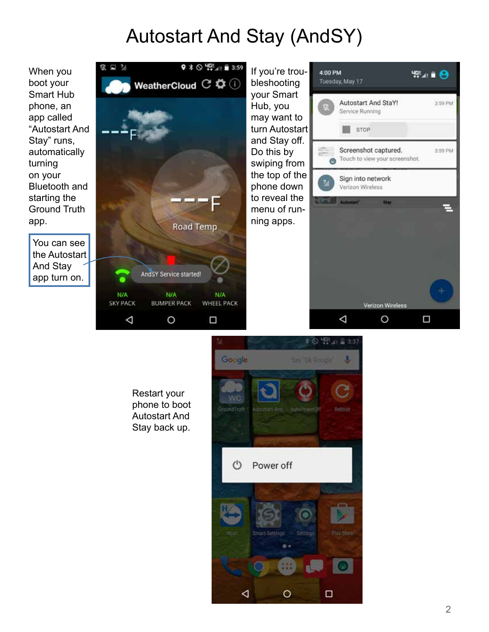## Autostart And Stay (AndSY)

When you boot your Smart Hub phone, an app called "Autostart And Stay" runs, automatically turning on your Bluetooth and starting the Ground Truth app.

You can see the Autostart And Stay app turn on.



Restart your phone to boot Autostart And Stay back up.